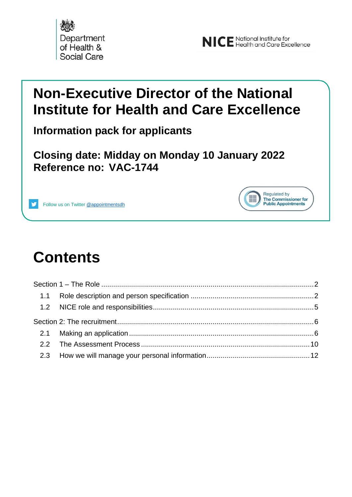



Regulated by The Commissioner for **Public Appointments** 

### **Non-Executive Director of the National Institute for Health and Care Excellence**

**Information pack for applicants**

**Closing date: Midday on Monday 10 January 2022 Reference no: VAC-1744**



## **Contents**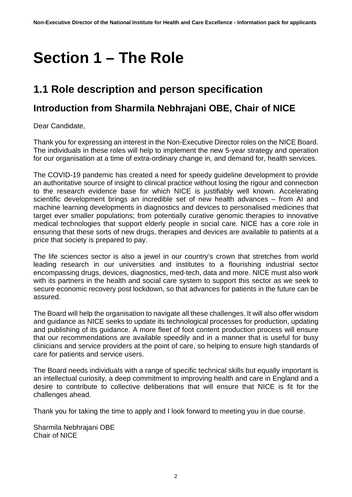## <span id="page-1-0"></span>**Section 1 – The Role**

#### <span id="page-1-1"></span>**1.1 Role description and person specification**

#### **Introduction from Sharmila Nebhrajani OBE, Chair of NICE**

Dear Candidate,

Thank you for expressing an interest in the Non-Executive Director roles on the NICE Board. The individuals in these roles will help to implement the new 5-year strategy and operation for our organisation at a time of extra-ordinary change in, and demand for, health services.

The COVID-19 pandemic has created a need for speedy guideline development to provide an authoritative source of insight to clinical practice without losing the rigour and connection to the research evidence base for which NICE is justifiably well known. Accelerating scientific development brings an incredible set of new health advances – from AI and machine learning developments in diagnostics and devices to personalised medicines that target ever smaller populations; from potentially curative genomic therapies to innovative medical technologies that support elderly people in social care. NICE has a core role in ensuring that these sorts of new drugs, therapies and devices are available to patients at a price that society is prepared to pay.

The life sciences sector is also a jewel in our country's crown that stretches from world leading research in our universities and institutes to a flourishing industrial sector encompassing drugs, devices, diagnostics, med-tech, data and more. NICE must also work with its partners in the health and social care system to support this sector as we seek to secure economic recovery post lockdown, so that advances for patients in the future can be assured.

The Board will help the organisation to navigate all these challenges. It will also offer wisdom and guidance as NICE seeks to update its technological processes for production, updating and publishing of its guidance. A more fleet of foot content production process will ensure that our recommendations are available speedily and in a manner that is useful for busy clinicians and service providers at the point of care, so helping to ensure high standards of care for patients and service users.

The Board needs individuals with a range of specific technical skills but equally important is an intellectual curiosity, a deep commitment to improving health and care in England and a desire to contribute to collective deliberations that will ensure that NICE is fit for the challenges ahead.

Thank you for taking the time to apply and I look forward to meeting you in due course.

Sharmila Nebhrajani OBE Chair of NICE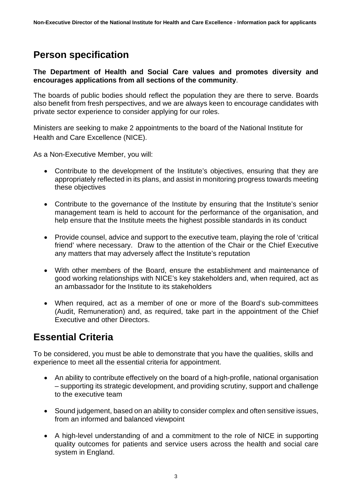#### **Person specification**

#### **The Department of Health and Social Care values and promotes diversity and encourages applications from all sections of the community**.

The boards of public bodies should reflect the population they are there to serve. Boards also benefit from fresh perspectives, and we are always keen to encourage candidates with private sector experience to consider applying for our roles.

Ministers are seeking to make 2 appointments to the board of the National Institute for Health and Care Excellence (NICE).

As a Non-Executive Member, you will:

- Contribute to the development of the Institute's objectives, ensuring that they are appropriately reflected in its plans, and assist in monitoring progress towards meeting these objectives
- Contribute to the governance of the Institute by ensuring that the Institute's senior management team is held to account for the performance of the organisation, and help ensure that the Institute meets the highest possible standards in its conduct
- Provide counsel, advice and support to the executive team, playing the role of 'critical friend' where necessary. Draw to the attention of the Chair or the Chief Executive any matters that may adversely affect the Institute's reputation
- With other members of the Board, ensure the establishment and maintenance of good working relationships with NICE's key stakeholders and, when required, act as an ambassador for the Institute to its stakeholders
- When required, act as a member of one or more of the Board's sub-committees (Audit, Remuneration) and, as required, take part in the appointment of the Chief Executive and other Directors.

#### **Essential Criteria**

To be considered, you must be able to demonstrate that you have the qualities, skills and experience to meet all the essential criteria for appointment.

- An ability to contribute effectively on the board of a high-profile, national organisation – supporting its strategic development, and providing scrutiny, support and challenge to the executive team
- Sound judgement, based on an ability to consider complex and often sensitive issues, from an informed and balanced viewpoint
- A high-level understanding of and a commitment to the role of NICE in supporting quality outcomes for patients and service users across the health and social care system in England.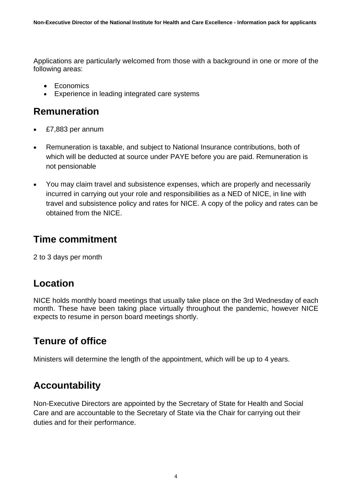Applications are particularly welcomed from those with a background in one or more of the following areas:

- Economics
- Experience in leading integrated care systems

#### **Remuneration**

- £7,883 per annum
- Remuneration is taxable, and subject to National Insurance contributions, both of which will be deducted at source under PAYE before you are paid. Remuneration is not pensionable
- You may claim travel and subsistence expenses, which are properly and necessarily incurred in carrying out your role and responsibilities as a NED of NICE, in line with travel and subsistence policy and rates for NICE. A copy of the policy and rates can be obtained from the NICE.

#### **Time commitment**

2 to 3 days per month

#### **Location**

NICE holds monthly board meetings that usually take place on the 3rd Wednesday of each month. These have been taking place virtually throughout the pandemic, however NICE expects to resume in person board meetings shortly.

#### **Tenure of office**

Ministers will determine the length of the appointment, which will be up to 4 years.

#### **Accountability**

Non-Executive Directors are appointed by the Secretary of State for Health and Social Care and are accountable to the Secretary of State via the Chair for carrying out their duties and for their performance.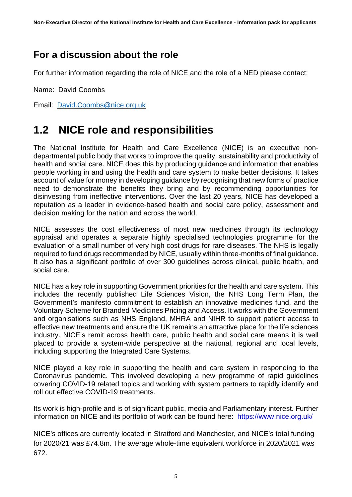#### **For a discussion about the role**

For further information regarding the role of NICE and the role of a NED please contact:

Name: David Coombs

Email: [David.Coombs@nice.org.uk](mailto:David.coombs@nice.org.uk)

### <span id="page-4-0"></span>**1.2 NICE role and responsibilities**

The National Institute for Health and Care Excellence (NICE) is an executive nondepartmental public body that works to improve the quality, sustainability and productivity of health and social care. NICE does this by producing guidance and information that enables people working in and using the health and care system to make better decisions. It takes account of value for money in developing guidance by recognising that new forms of practice need to demonstrate the benefits they bring and by recommending opportunities for disinvesting from ineffective interventions. Over the last 20 years, NICE has developed a reputation as a leader in evidence-based health and social care policy, assessment and decision making for the nation and across the world.

NICE assesses the cost effectiveness of most new medicines through its technology appraisal and operates a separate highly specialised technologies programme for the evaluation of a small number of very high cost drugs for rare diseases. The NHS is legally required to fund drugs recommended by NICE, usually within three-months of final guidance. It also has a significant portfolio of over 300 guidelines across clinical, public health, and social care.

NICE has a key role in supporting Government priorities for the health and care system. This includes the recently published Life Sciences Vision, the NHS Long Term Plan, the Government's manifesto commitment to establish an innovative medicines fund, and the Voluntary Scheme for Branded Medicines Pricing and Access. It works with the Government and organisations such as NHS England, MHRA and NIHR to support patient access to effective new treatments and ensure the UK remains an attractive place for the life sciences industry. NICE's remit across health care, public health and social care means it is well placed to provide a system-wide perspective at the national, regional and local levels, including supporting the Integrated Care Systems.

NICE played a key role in supporting the health and care system in responding to the Coronavirus pandemic. This involved developing a new programme of rapid guidelines covering COVID-19 related topics and working with system partners to rapidly identify and roll out effective COVID-19 treatments.

Its work is high-profile and is of significant public, media and Parliamentary interest. Further information on NICE and its portfolio of work can be found here: <https://www.nice.org.uk/>

NICE's offices are currently located in Stratford and Manchester, and NICE's total funding for 2020/21 was £74.8m. The average whole-time equivalent workforce in 2020/2021 was 672.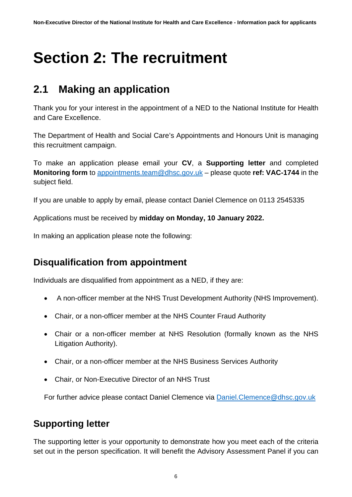# <span id="page-5-0"></span>**Section 2: The recruitment**

### <span id="page-5-1"></span>**2.1 Making an application**

Thank you for your interest in the appointment of a NED to the National Institute for Health and Care Excellence.

The Department of Health and Social Care's Appointments and Honours Unit is managing this recruitment campaign.

To make an application please email your **CV**, a **Supporting letter** and completed **Monitoring form** to [appointments.team@dhsc.gov.uk](mailto:appointments.team@dhsc.gov.uk) – please quote **ref: VAC-1744** in the subject field.

If you are unable to apply by email, please contact Daniel Clemence on 0113 2545335

Applications must be received by **midday on Monday, 10 January 2022.**

In making an application please note the following:

#### **Disqualification from appointment**

Individuals are disqualified from appointment as a NED, if they are:

- A non-officer member at the NHS Trust Development Authority (NHS Improvement).
- Chair, or a non-officer member at the NHS Counter Fraud Authority
- Chair or a non-officer member at NHS Resolution (formally known as the NHS Litigation Authority).
- Chair, or a non-officer member at the NHS Business Services Authority
- Chair, or Non-Executive Director of an NHS Trust

For further advice please contact Daniel Clemence via [Daniel.Clemence@dhsc.gov.uk](mailto:Daniel.Clemence@dhsc.gov.uk)

#### **Supporting letter**

The supporting letter is your opportunity to demonstrate how you meet each of the criteria set out in the person specification. It will benefit the Advisory Assessment Panel if you can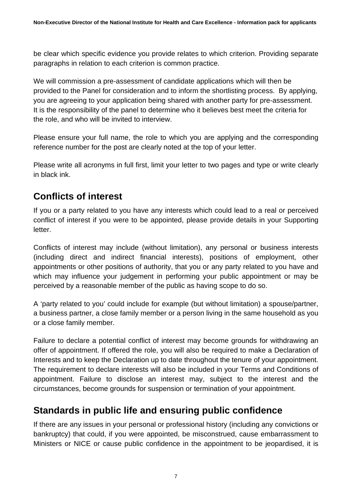be clear which specific evidence you provide relates to which criterion. Providing separate paragraphs in relation to each criterion is common practice.

We will commission a pre-assessment of candidate applications which will then be provided to the Panel for consideration and to inform the shortlisting process. By applying, you are agreeing to your application being shared with another party for pre-assessment. It is the responsibility of the panel to determine who it believes best meet the criteria for the role, and who will be invited to interview.

Please ensure your full name, the role to which you are applying and the corresponding reference number for the post are clearly noted at the top of your letter.

Please write all acronyms in full first, limit your letter to two pages and type or write clearly in black ink.

#### **Conflicts of interest**

If you or a party related to you have any interests which could lead to a real or perceived conflict of interest if you were to be appointed, please provide details in your Supporting letter.

Conflicts of interest may include (without limitation), any personal or business interests (including direct and indirect financial interests), positions of employment, other appointments or other positions of authority, that you or any party related to you have and which may influence your judgement in performing your public appointment or may be perceived by a reasonable member of the public as having scope to do so.

A 'party related to you' could include for example (but without limitation) a spouse/partner, a business partner, a close family member or a person living in the same household as you or a close family member.

Failure to declare a potential conflict of interest may become grounds for withdrawing an offer of appointment. If offered the role, you will also be required to make a Declaration of Interests and to keep the Declaration up to date throughout the tenure of your appointment. The requirement to declare interests will also be included in your Terms and Conditions of appointment. Failure to disclose an interest may, subject to the interest and the circumstances, become grounds for suspension or termination of your appointment.

#### **Standards in public life and ensuring public confidence**

If there are any issues in your personal or professional history (including any convictions or bankruptcy) that could, if you were appointed, be misconstrued, cause embarrassment to Ministers or NICE or cause public confidence in the appointment to be jeopardised, it is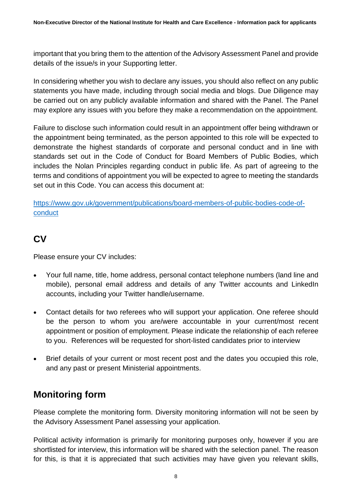important that you bring them to the attention of the Advisory Assessment Panel and provide details of the issue/s in your Supporting letter.

In considering whether you wish to declare any issues, you should also reflect on any public statements you have made, including through social media and blogs. Due Diligence may be carried out on any publicly available information and shared with the Panel. The Panel may explore any issues with you before they make a recommendation on the appointment.

Failure to disclose such information could result in an appointment offer being withdrawn or the appointment being terminated, as the person appointed to this role will be expected to demonstrate the highest standards of corporate and personal conduct and in line with standards set out in the Code of Conduct for Board Members of Public Bodies, which includes the Nolan Principles regarding conduct in public life. As part of agreeing to the terms and conditions of appointment you will be expected to agree to meeting the standards set out in this Code. You can access this document at:

[https://www.gov.uk/government/publications/board-members-of-public-bodies-code-of](https://www.gov.uk/government/publications/board-members-of-public-bodies-code-of-conduct)[conduct](https://www.gov.uk/government/publications/board-members-of-public-bodies-code-of-conduct)

#### **CV**

Please ensure your CV includes:

- Your full name, title, home address, personal contact telephone numbers (land line and mobile), personal email address and details of any Twitter accounts and LinkedIn accounts, including your Twitter handle/username.
- Contact details for two referees who will support your application. One referee should be the person to whom you are/were accountable in your current/most recent appointment or position of employment. Please indicate the relationship of each referee to you. References will be requested for short-listed candidates prior to interview
- Brief details of your current or most recent post and the dates you occupied this role, and any past or present Ministerial appointments.

#### **Monitoring form**

Please complete the monitoring form. Diversity monitoring information will not be seen by the Advisory Assessment Panel assessing your application.

Political activity information is primarily for monitoring purposes only, however if you are shortlisted for interview, this information will be shared with the selection panel. The reason for this, is that it is appreciated that such activities may have given you relevant skills,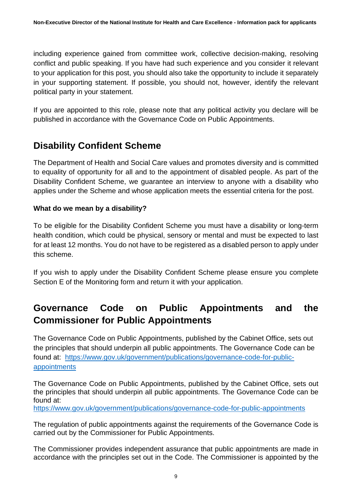including experience gained from committee work, collective decision-making, resolving conflict and public speaking. If you have had such experience and you consider it relevant to your application for this post, you should also take the opportunity to include it separately in your supporting statement. If possible, you should not, however, identify the relevant political party in your statement.

If you are appointed to this role, please note that any political activity you declare will be published in accordance with the Governance Code on Public Appointments.

#### **Disability Confident Scheme**

The Department of Health and Social Care values and promotes diversity and is committed to equality of opportunity for all and to the appointment of disabled people. As part of the Disability Confident Scheme, we guarantee an interview to anyone with a disability who applies under the Scheme and whose application meets the essential criteria for the post.

#### **What do we mean by a disability?**

To be eligible for the Disability Confident Scheme you must have a disability or long-term health condition, which could be physical, sensory or mental and must be expected to last for at least 12 months. You do not have to be registered as a disabled person to apply under this scheme.

If you wish to apply under the Disability Confident Scheme please ensure you complete Section E of the Monitoring form and return it with your application.

#### **Governance Code on Public Appointments and the Commissioner for Public Appointments**

The Governance Code on Public Appointments, published by the Cabinet Office, sets out the principles that should underpin all public appointments. The Governance Code can be found at: [https://www.gov.uk/government/publications/governance-code-for-public](https://www.gov.uk/government/publications/governance-code-for-public-appointments)[appointments](https://www.gov.uk/government/publications/governance-code-for-public-appointments)

The Governance Code on Public Appointments, published by the Cabinet Office, sets out the principles that should underpin all public appointments. The Governance Code can be found at:

<https://www.gov.uk/government/publications/governance-code-for-public-appointments>

The regulation of public appointments against the requirements of the Governance Code is carried out by the Commissioner for Public Appointments.

The Commissioner provides independent assurance that public appointments are made in accordance with the principles set out in the Code. The Commissioner is appointed by the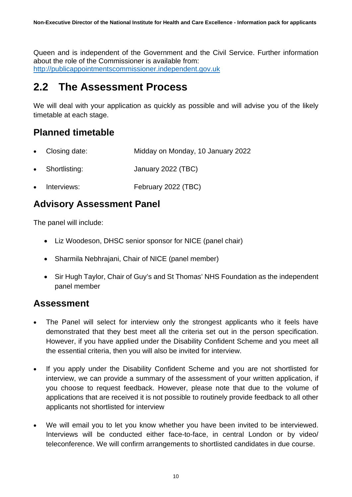Queen and is independent of the Government and the Civil Service. Further information about the role of the Commissioner is available from: [http://publicappointmentscommissioner.independent.gov.uk](http://publicappointmentscommissioner.independent.gov.uk/) 

#### <span id="page-9-0"></span>**2.2 The Assessment Process**

We will deal with your application as quickly as possible and will advise you of the likely timetable at each stage.

#### **Planned timetable**

- Closing date: Midday on Monday, 10 January 2022
- Shortlisting: January 2022 (TBC)
- Interviews: February 2022 (TBC)

#### **Advisory Assessment Panel**

The panel will include:

- Liz Woodeson, DHSC senior sponsor for NICE (panel chair)
- Sharmila Nebhrajani, Chair of NICE (panel member)
- Sir Hugh Taylor, Chair of Guy's and St Thomas' NHS Foundation as the independent panel member

#### **Assessment**

- The Panel will select for interview only the strongest applicants who it feels have demonstrated that they best meet all the criteria set out in the person specification. However, if you have applied under the Disability Confident Scheme and you meet all the essential criteria, then you will also be invited for interview.
- If you apply under the Disability Confident Scheme and you are not shortlisted for interview, we can provide a summary of the assessment of your written application, if you choose to request feedback. However, please note that due to the volume of applications that are received it is not possible to routinely provide feedback to all other applicants not shortlisted for interview
- We will email you to let you know whether you have been invited to be interviewed. Interviews will be conducted either face-to-face, in central London or by video/ teleconference. We will confirm arrangements to shortlisted candidates in due course.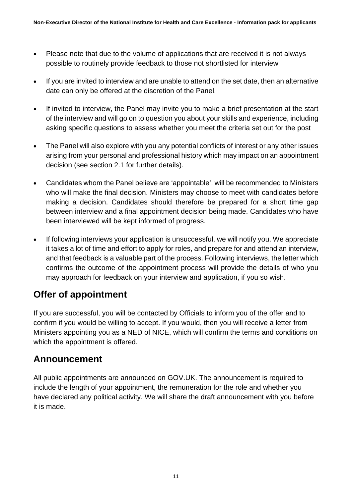- Please note that due to the volume of applications that are received it is not always possible to routinely provide feedback to those not shortlisted for interview
- If you are invited to interview and are unable to attend on the set date, then an alternative date can only be offered at the discretion of the Panel.
- If invited to interview, the Panel may invite you to make a brief presentation at the start of the interview and will go on to question you about your skills and experience, including asking specific questions to assess whether you meet the criteria set out for the post
- The Panel will also explore with you any potential conflicts of interest or any other issues arising from your personal and professional history which may impact on an appointment decision (see section 2.1 for further details).
- Candidates whom the Panel believe are 'appointable', will be recommended to Ministers who will make the final decision. Ministers may choose to meet with candidates before making a decision. Candidates should therefore be prepared for a short time gap between interview and a final appointment decision being made. Candidates who have been interviewed will be kept informed of progress.
- If following interviews your application is unsuccessful, we will notify you. We appreciate it takes a lot of time and effort to apply for roles, and prepare for and attend an interview, and that feedback is a valuable part of the process. Following interviews, the letter which confirms the outcome of the appointment process will provide the details of who you may approach for feedback on your interview and application, if you so wish.

#### **Offer of appointment**

If you are successful, you will be contacted by Officials to inform you of the offer and to confirm if you would be willing to accept. If you would, then you will receive a letter from Ministers appointing you as a NED of NICE, which will confirm the terms and conditions on which the appointment is offered.

#### **Announcement**

All public appointments are announced on GOV.UK. The announcement is required to include the length of your appointment, the remuneration for the role and whether you have declared any political activity. We will share the draft announcement with you before it is made.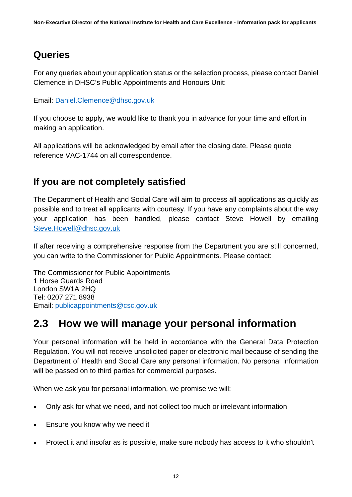#### **Queries**

For any queries about your application status or the selection process, please contact Daniel Clemence in DHSC's Public Appointments and Honours Unit:

Email: [Daniel.Clemence@dhsc.gov.uk](mailto:Daniel.Clemence@dhsc.gov.uk)

If you choose to apply, we would like to thank you in advance for your time and effort in making an application.

All applications will be acknowledged by email after the closing date. Please quote reference VAC-1744 on all correspondence.

#### **If you are not completely satisfied**

The Department of Health and Social Care will aim to process all applications as quickly as possible and to treat all applicants with courtesy. If you have any complaints about the way your application has been handled, please contact Steve Howell by emailing [Steve.Howell@dhsc.gov.uk](mailto:Steve.Howell@dhsc.gov.uk)

If after receiving a comprehensive response from the Department you are still concerned, you can write to the Commissioner for Public Appointments. Please contact:

The Commissioner for Public Appointments 1 Horse Guards Road London SW1A 2HQ Tel: 0207 271 8938 Email: [publicappointments@csc.gov.uk](mailto:publicappointments@csc.gsi.gov.uk)

#### <span id="page-11-0"></span>**2.3 How we will manage your personal information**

Your personal information will be held in accordance with the General Data Protection Regulation. You will not receive unsolicited paper or electronic mail because of sending the Department of Health and Social Care any personal information. No personal information will be passed on to third parties for commercial purposes.

When we ask you for personal information, we promise we will:

- Only ask for what we need, and not collect too much or irrelevant information
- Ensure you know why we need it
- Protect it and insofar as is possible, make sure nobody has access to it who shouldn't